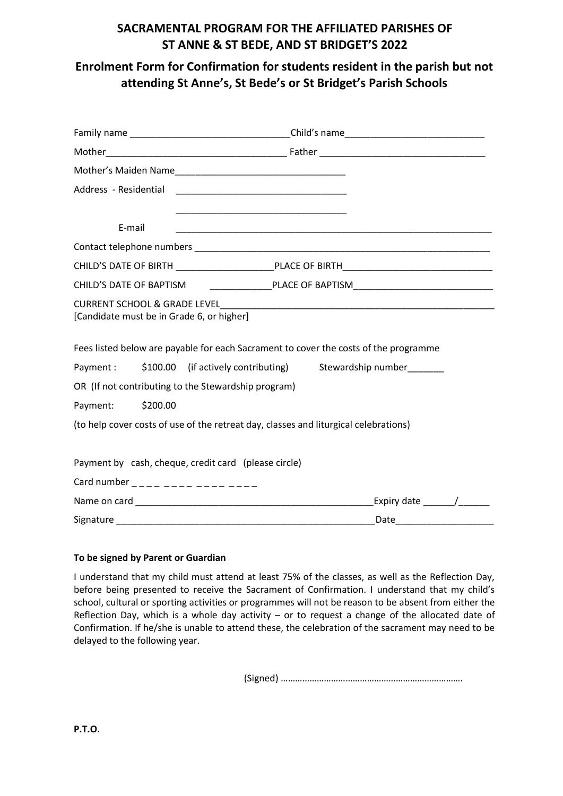# **SACRAMENTAL PROGRAM FOR THE AFFILIATED PARISHES OF ST ANNE & ST BEDE, AND ST BRIDGET'S 2022**

**Enrolment Form for Confirmation for students resident in the parish but not attending St Anne's, St Bede's or St Bridget's Parish Schools**

| Address - Residential   |          |                                                                                           |  |
|-------------------------|----------|-------------------------------------------------------------------------------------------|--|
|                         |          | the control of the control of the control of the control of the control of the control of |  |
| E-mail                  |          |                                                                                           |  |
|                         |          |                                                                                           |  |
|                         |          |                                                                                           |  |
| CHILD'S DATE OF BAPTISM |          |                                                                                           |  |
|                         |          | [Candidate must be in Grade 6, or higher]                                                 |  |
|                         |          | Fees listed below are payable for each Sacrament to cover the costs of the programme      |  |
| Payment :               |          | \$100.00 (if actively contributing) Stewardship number_______                             |  |
|                         |          | OR (If not contributing to the Stewardship program)                                       |  |
| Payment:                | \$200.00 |                                                                                           |  |
|                         |          | (to help cover costs of use of the retreat day, classes and liturgical celebrations)      |  |
|                         |          | Payment by cash, cheque, credit card (please circle)                                      |  |
|                         |          | Card number ____ ____ ____ ____ ___                                                       |  |
|                         |          | Expiry date $\frac{1}{\sqrt{1-\frac{1}{2}}}\left  \frac{1}{\sqrt{1-\frac{1}{2}}}\right $  |  |
|                         |          |                                                                                           |  |

#### **To be signed by Parent or Guardian**

I understand that my child must attend at least 75% of the classes, as well as the Reflection Day, before being presented to receive the Sacrament of Confirmation. I understand that my child's school, cultural or sporting activities or programmes will not be reason to be absent from either the Reflection Day, which is a whole day activity  $-$  or to request a change of the allocated date of Confirmation. If he/she is unable to attend these, the celebration of the sacrament may need to be delayed to the following year.

(Signed) ………………………………………………………………….